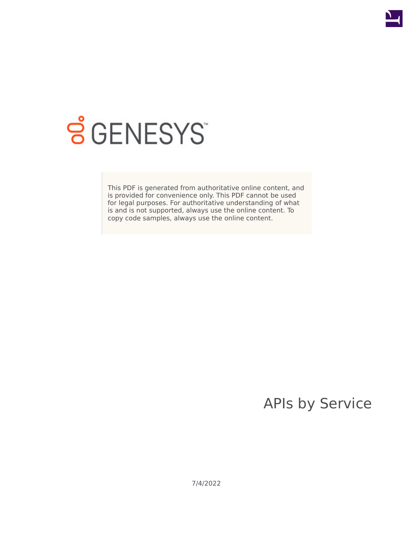

# **S** GENESYS

This PDF is generated from authoritative online content, and is provided for convenience only. This PDF cannot be used for legal purposes. For authoritative understanding of what is and is not supported, always use the online content. To copy code samples, always use the online content.

## APIs by Service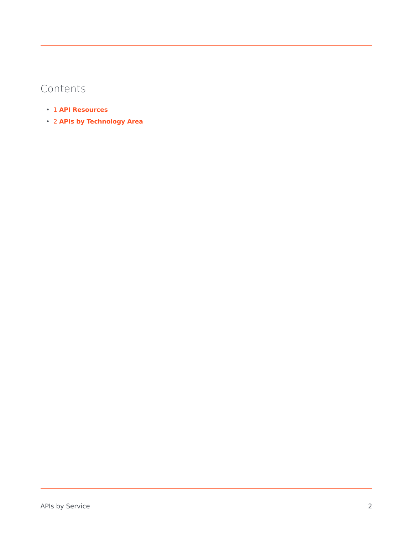## Contents

- 1 **[API Resources](#page-2-0)**
- 2 **[APIs by Technology Area](#page-3-0)**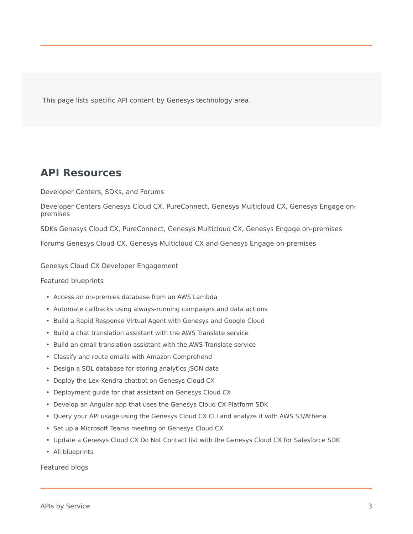This page lists specific API content by Genesys technology area.

### <span id="page-2-0"></span>**API Resources**

Developer Centers, SDKs, and Forums

Developer Centers Genesys Cloud CX, PureConnect, Genesys Multicloud CX, Genesys Engage onpremises

SDKs Genesys Cloud CX, PureConnect, Genesys Multicloud CX, Genesys Engage on-premises

Forums Genesys Cloud CX, Genesys Multicloud CX and Genesys Engage on-premises

#### Genesys Cloud CX Developer Engagement

#### Featured blueprints

- Access an on-premies database from an AWS Lambda
- Automate callbacks using always-running campaigns and data actions
- Build a Rapid Response Virtual Agent with Genesys and Google Cloud
- Build a chat translation assistant with the AWS Translate service
- Build an email translation assistant with the AWS Translate service
- Classify and route emails with Amazon Comprehend
- Design a SQL database for storing analytics JSON data
- Deploy the Lex-Kendra chatbot on Genesys Cloud CX
- Deployment guide for chat assistant on Genesys Cloud CX
- Develop an Angular app that uses the Genesys Cloud CX Platform SDK
- Query your API usage using the Genesys Cloud CX CLI and analyze it with AWS S3/Athena
- Set up a Microsoft Teams meeting on Genesys Cloud CX
- Update a Genesys Cloud CX Do Not Contact list with the Genesys Cloud CX for Salesforce SDK
- All blueprints

Featured blogs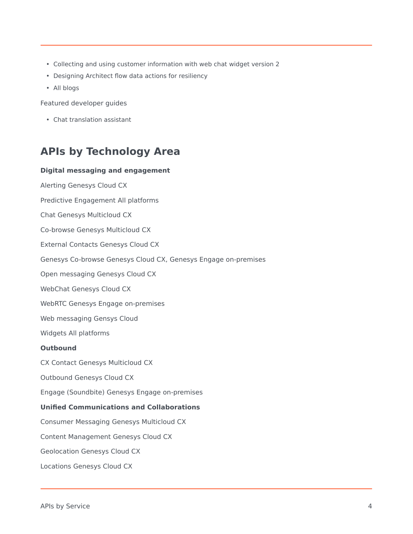- Collecting and using customer information with web chat widget version 2
- Designing Architect flow data actions for resiliency
- All blogs

Featured developer guides

• Chat translation assistant

## <span id="page-3-0"></span>**APIs by Technology Area**

#### **Digital messaging and engagement**

Alerting Genesys Cloud CX Predictive Engagement All platforms Chat Genesys Multicloud CX Co-browse Genesys Multicloud CX External Contacts Genesys Cloud CX Genesys Co-browse Genesys Cloud CX, Genesys Engage on-premises Open messaging Genesys Cloud CX WebChat Genesys Cloud CX WebRTC Genesys Engage on-premises Web messaging Gensys Cloud Widgets All platforms **Outbound** CX Contact Genesys Multicloud CX Outbound Genesys Cloud CX Engage (Soundbite) Genesys Engage on-premises

#### **Unified Communications and Collaborations**

Consumer Messaging Genesys Multicloud CX

Content Management Genesys Cloud CX

Geolocation Genesys Cloud CX

Locations Genesys Cloud CX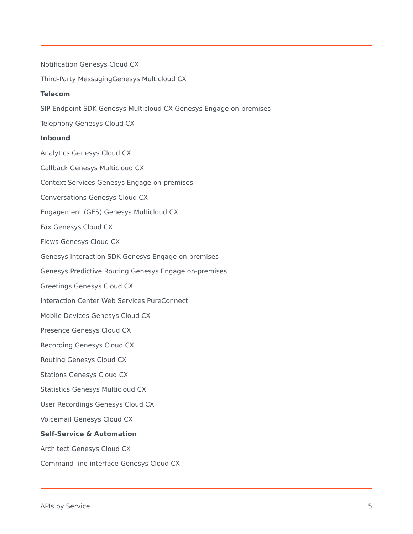Notification Genesys Cloud CX Third-Party MessagingGenesys Multicloud CX **Telecom** SIP Endpoint SDK Genesys Multicloud CX Genesys Engage on-premises Telephony Genesys Cloud CX **Inbound** Analytics Genesys Cloud CX Callback Genesys Multicloud CX Context Services Genesys Engage on-premises Conversations Genesys Cloud CX Engagement (GES) Genesys Multicloud CX Fax Genesys Cloud CX Flows Genesys Cloud CX Genesys Interaction SDK Genesys Engage on-premises Genesys Predictive Routing Genesys Engage on-premises Greetings Genesys Cloud CX Interaction Center Web Services PureConnect Mobile Devices Genesys Cloud CX Presence Genesys Cloud CX Recording Genesys Cloud CX Routing Genesys Cloud CX Stations Genesys Cloud CX Statistics Genesys Multicloud CX User Recordings Genesys Cloud CX Voicemail Genesys Cloud CX **Self-Service & Automation** Architect Genesys Cloud CX Command-line interface Genesys Cloud CX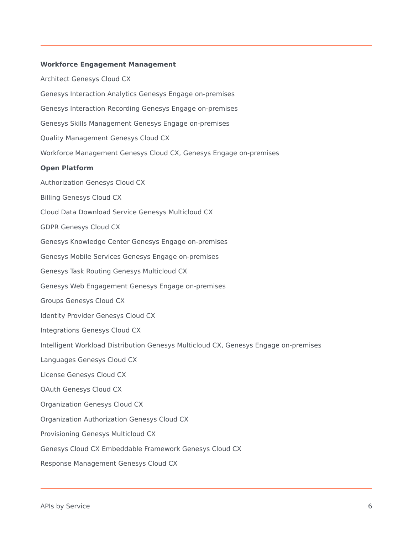#### **Workforce Engagement Management**

Architect Genesys Cloud CX Genesys Interaction Analytics Genesys Engage on-premises Genesys Interaction Recording Genesys Engage on-premises Genesys Skills Management Genesys Engage on-premises Quality Management Genesys Cloud CX Workforce Management Genesys Cloud CX, Genesys Engage on-premises **Open Platform** Authorization Genesys Cloud CX Billing Genesys Cloud CX Cloud Data Download Service Genesys Multicloud CX GDPR Genesys Cloud CX Genesys Knowledge Center Genesys Engage on-premises Genesys Mobile Services Genesys Engage on-premises Genesys Task Routing Genesys Multicloud CX Genesys Web Engagement Genesys Engage on-premises Groups Genesys Cloud CX Identity Provider Genesys Cloud CX Integrations Genesys Cloud CX Intelligent Workload Distribution Genesys Multicloud CX, Genesys Engage on-premises Languages Genesys Cloud CX License Genesys Cloud CX OAuth Genesys Cloud CX Organization Genesys Cloud CX Organization Authorization Genesys Cloud CX Provisioning Genesys Multicloud CX Genesys Cloud CX Embeddable Framework Genesys Cloud CX Response Management Genesys Cloud CX